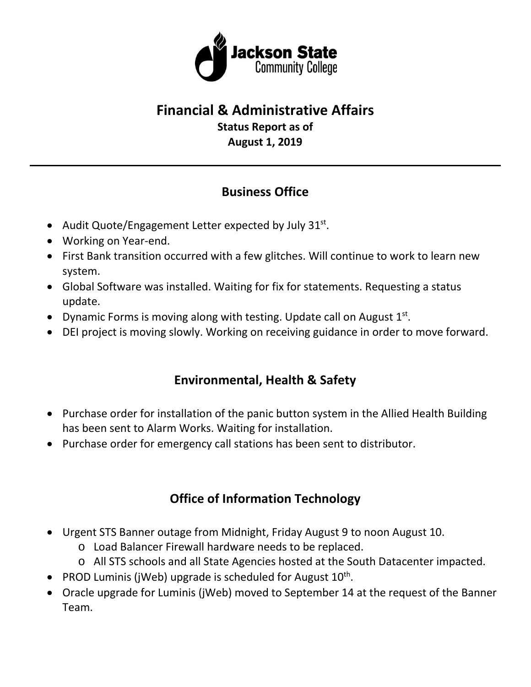

### **Financial & Administrative Affairs Status Report as of**

**August 1, 2019**

## **Business Office**

- Audit Quote/Engagement Letter expected by July  $31^{st}$ .
- Working on Year-end.
- First Bank transition occurred with a few glitches. Will continue to work to learn new system.
- Global Software was installed. Waiting for fix for statements. Requesting a status update.
- Dynamic Forms is moving along with testing. Update call on August  $1<sup>st</sup>$ .
- DEI project is moving slowly. Working on receiving guidance in order to move forward.

## **Environmental, Health & Safety**

- Purchase order for installation of the panic button system in the Allied Health Building has been sent to Alarm Works. Waiting for installation.
- Purchase order for emergency call stations has been sent to distributor.

# **Office of Information Technology**

- Urgent STS Banner outage from Midnight, Friday August 9 to noon August 10.
	- o Load Balancer Firewall hardware needs to be replaced.
	- o All STS schools and all State Agencies hosted at the South Datacenter impacted.
- PROD Luminis (jWeb) upgrade is scheduled for August  $10^{th}$ .
- Oracle upgrade for Luminis (jWeb) moved to September 14 at the request of the Banner Team.